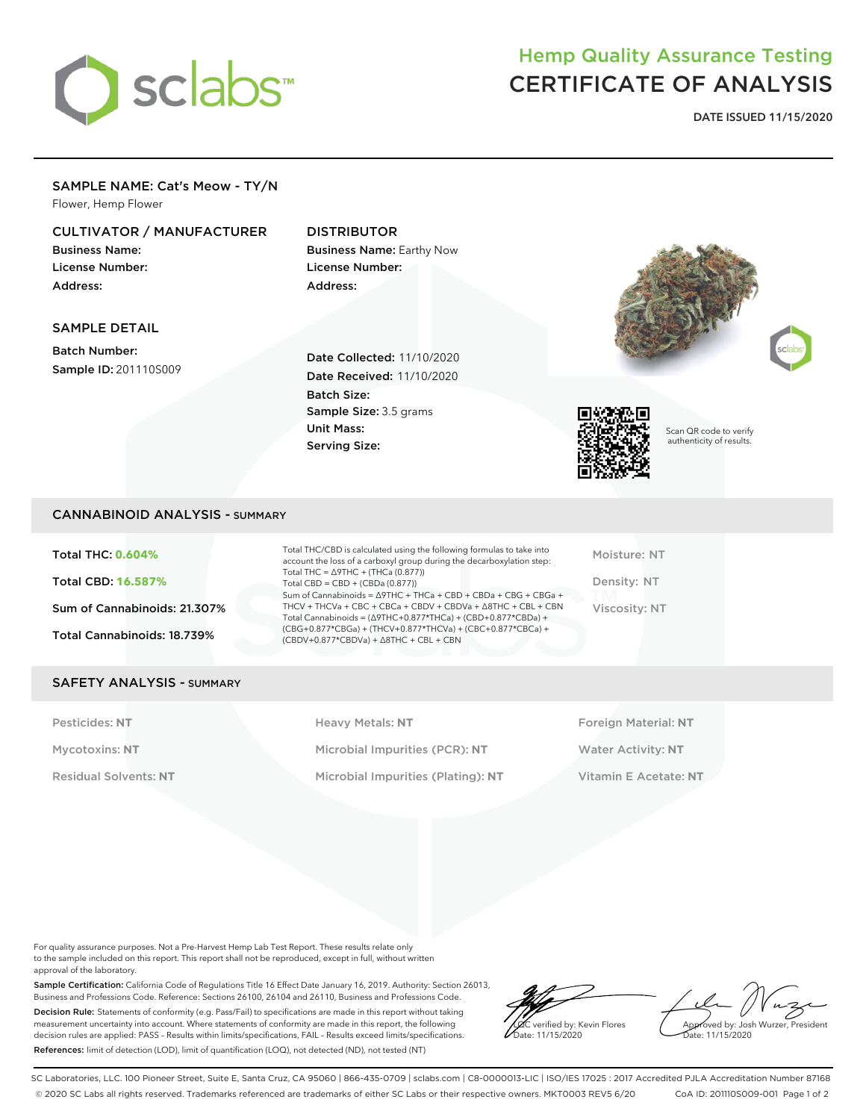# sclabs<sup>\*</sup>

# Hemp Quality Assurance Testing CERTIFICATE OF ANALYSIS

**DATE ISSUED 11/15/2020**

## SAMPLE NAME: Cat's Meow - TY/N

Flower, Hemp Flower

### CULTIVATOR / MANUFACTURER

Business Name: License Number: Address:

#### DISTRIBUTOR

Business Name: Earthy Now License Number: Address:

#### SAMPLE DETAIL

Batch Number: Sample ID: 201110S009

Date Collected: 11/10/2020 Date Received: 11/10/2020 Batch Size: Sample Size: 3.5 grams Unit Mass: Serving Size:







Scan QR code to verify authenticity of results.

#### CANNABINOID ANALYSIS - SUMMARY

Total THC: **0.604%** Total CBD: **16.587%** Sum of Cannabinoids: 21.307% Total Cannabinoids: 18.739%

Total THC/CBD is calculated using the following formulas to take into account the loss of a carboxyl group during the decarboxylation step: Total THC = ∆9THC + (THCa (0.877)) Total  $CBD = CBD + (CBDa (0.877))$ Sum of Cannabinoids = ∆9THC + THCa + CBD + CBDa + CBG + CBGa + THCV + THCVa + CBC + CBCa + CBDV + CBDVa + ∆8THC + CBL + CBN Total Cannabinoids = (∆9THC+0.877\*THCa) + (CBD+0.877\*CBDa) + (CBG+0.877\*CBGa) + (THCV+0.877\*THCVa) + (CBC+0.877\*CBCa) + (CBDV+0.877\*CBDVa) + ∆8THC + CBL + CBN

Moisture: NT Density: NT Viscosity: NT

#### SAFETY ANALYSIS - SUMMARY

Pesticides: NT **All Accords** Heavy Metals: NT **Foreign Material: NT** Pesticides: NT Mycotoxins: **NT** Microbial Impurities (PCR): **NT** Water Activity: **NT** Residual Solvents: **NT** Microbial Impurities (Plating): **NT** Vitamin E Acetate: **NT**

For quality assurance purposes. Not a Pre-Harvest Hemp Lab Test Report. These results relate only to the sample included on this report. This report shall not be reproduced, except in full, without written approval of the laboratory.

Sample Certification: California Code of Regulations Title 16 Effect Date January 16, 2019. Authority: Section 26013, Business and Professions Code. Reference: Sections 26100, 26104 and 26110, Business and Professions Code. Decision Rule: Statements of conformity (e.g. Pass/Fail) to specifications are made in this report without taking measurement uncertainty into account. Where statements of conformity are made in this report, the following decision rules are applied: PASS – Results within limits/specifications, FAIL – Results exceed limits/specifications. References: limit of detection (LOD), limit of quantification (LOQ), not detected (ND), not tested (NT)

LQC verified by: Kevin Flores Date: 11/15/2020

Approved by: Josh Wurzer, President Date: 11/15/2020

SC Laboratories, LLC. 100 Pioneer Street, Suite E, Santa Cruz, CA 95060 | 866-435-0709 | sclabs.com | C8-0000013-LIC | ISO/IES 17025 : 2017 Accredited PJLA Accreditation Number 87168 © 2020 SC Labs all rights reserved. Trademarks referenced are trademarks of either SC Labs or their respective owners. MKT0003 REV5 6/20 CoA ID: 201110S009-001 Page 1 of 2